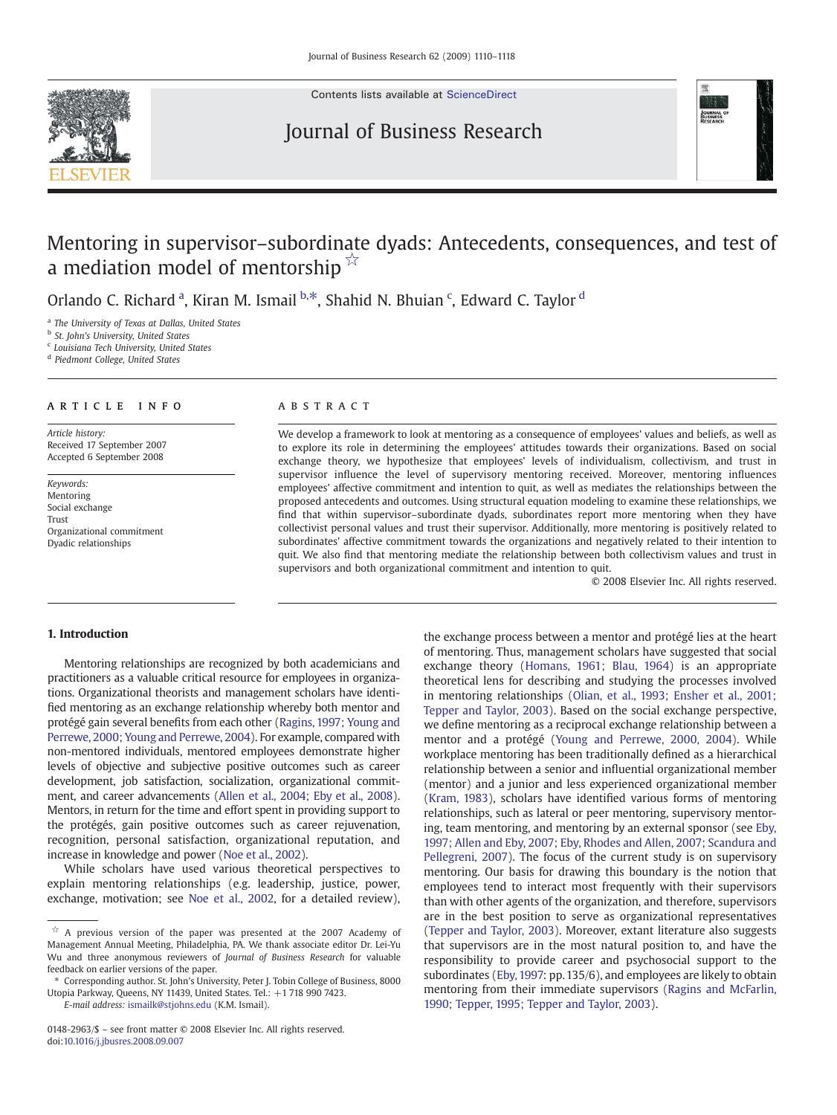

Contents lists available at [ScienceDirect](http://www.sciencedirect.com/science/journal/01482963)

## Journal of Business Research



# Mentoring in supervisor–subordinate dyads: Antecedents, consequences, and test of a mediation model of mentorship  $\overline{X}$

Orlando C. Richard<sup>a</sup>, Kiran M. Ismail b.\*, Shahid N. Bhuian <sup>c</sup>, Edward C. Taylor <sup>d</sup>

<sup>a</sup> The University of Texas at Dallas, United States

<sup>b</sup> St. John's University, United States

<sup>c</sup> Louisiana Tech University, United States

<sup>d</sup> Piedmont College, United States

### article info abstract

Article history: Received 17 September 2007 Accepted 6 September 2008

Keywords: Mentoring Social exchange Trust Organizational commitment Dyadic relationships

We develop a framework to look at mentoring as a consequence of employees' values and beliefs, as well as to explore its role in determining the employees' attitudes towards their organizations. Based on social exchange theory, we hypothesize that employees' levels of individualism, collectivism, and trust in supervisor influence the level of supervisory mentoring received. Moreover, mentoring influences employees' affective commitment and intention to quit, as well as mediates the relationships between the proposed antecedents and outcomes. Using structural equation modeling to examine these relationships, we find that within supervisor–subordinate dyads, subordinates report more mentoring when they have collectivist personal values and trust their supervisor. Additionally, more mentoring is positively related to subordinates' affective commitment towards the organizations and negatively related to their intention to quit. We also find that mentoring mediate the relationship between both collectivism values and trust in supervisors and both organizational commitment and intention to quit.

© 2008 Elsevier Inc. All rights reserved.

### 1. Introduction

Mentoring relationships are recognized by both academicians and practitioners as a valuable critical resource for employees in organizations. Organizational theorists and management scholars have identified mentoring as an exchange relationship whereby both mentor and protégé gain several benefits from each other ([Ragins, 1997; Young and](#page--1-0) [Perrewe, 2000; Young and Perrewe, 2004](#page--1-0)). For example, compared with non-mentored individuals, mentored employees demonstrate higher levels of objective and subjective positive outcomes such as career development, job satisfaction, socialization, organizational commitment, and career advancements ([Allen et al., 2004; Eby et al., 2008\)](#page--1-0). Mentors, in return for the time and effort spent in providing support to the protégés, gain positive outcomes such as career rejuvenation, recognition, personal satisfaction, organizational reputation, and increase in knowledge and power [\(Noe et al., 2002](#page--1-0)).

While scholars have used various theoretical perspectives to explain mentoring relationships (e.g. leadership, justice, power, exchange, motivation; see [Noe et al., 2002,](#page--1-0) for a detailed review),

E-mail address: [ismailk@stjohns.edu](mailto:ismailk@stjohns.edu) (K.M. Ismail).

the exchange process between a mentor and protégé lies at the heart of mentoring. Thus, management scholars have suggested that social exchange theory ([Homans, 1961; Blau, 1964](#page--1-0)) is an appropriate theoretical lens for describing and studying the processes involved in mentoring relationships ([Olian, et al., 1993; Ensher et al., 2001;](#page--1-0) [Tepper and Taylor, 2003\)](#page--1-0). Based on the social exchange perspective, we define mentoring as a reciprocal exchange relationship between a mentor and a protégé ([Young and Perrewe, 2000, 2004](#page--1-0)). While workplace mentoring has been traditionally defined as a hierarchical relationship between a senior and influential organizational member (mentor) and a junior and less experienced organizational member [\(Kram, 1983\)](#page--1-0), scholars have identified various forms of mentoring relationships, such as lateral or peer mentoring, supervisory mentoring, team mentoring, and mentoring by an external sponsor (see [Eby,](#page--1-0) [1997; Allen and Eby, 2007; Eby, Rhodes and Allen, 2007; Scandura and](#page--1-0) [Pellegreni, 2007](#page--1-0)). The focus of the current study is on supervisory mentoring. Our basis for drawing this boundary is the notion that employees tend to interact most frequently with their supervisors than with other agents of the organization, and therefore, supervisors are in the best position to serve as organizational representatives [\(Tepper and Taylor, 2003\)](#page--1-0). Moreover, extant literature also suggests that supervisors are in the most natural position to, and have the responsibility to provide career and psychosocial support to the subordinates ([Eby, 1997:](#page--1-0) pp. 135/6), and employees are likely to obtain mentoring from their immediate supervisors [\(Ragins and McFarlin,](#page--1-0) [1990; Tepper, 1995; Tepper and Taylor, 2003](#page--1-0)).

 $\overrightarrow{x}$  A previous version of the paper was presented at the 2007 Academy of Management Annual Meeting, Philadelphia, PA. We thank associate editor Dr. Lei-Yu Wu and three anonymous reviewers of Journal of Business Research for valuable feedback on earlier versions of the paper.

<sup>⁎</sup> Corresponding author. St. John's University, Peter J. Tobin College of Business, 8000 Utopia Parkway, Queens, NY 11439, United States. Tel.: +1 718 990 7423.

<sup>0148-2963/\$</sup> – see front matter © 2008 Elsevier Inc. All rights reserved. doi[:10.1016/j.jbusres.2008.09.007](http://dx.doi.org/10.1016/j.jbusres.2008.09.007)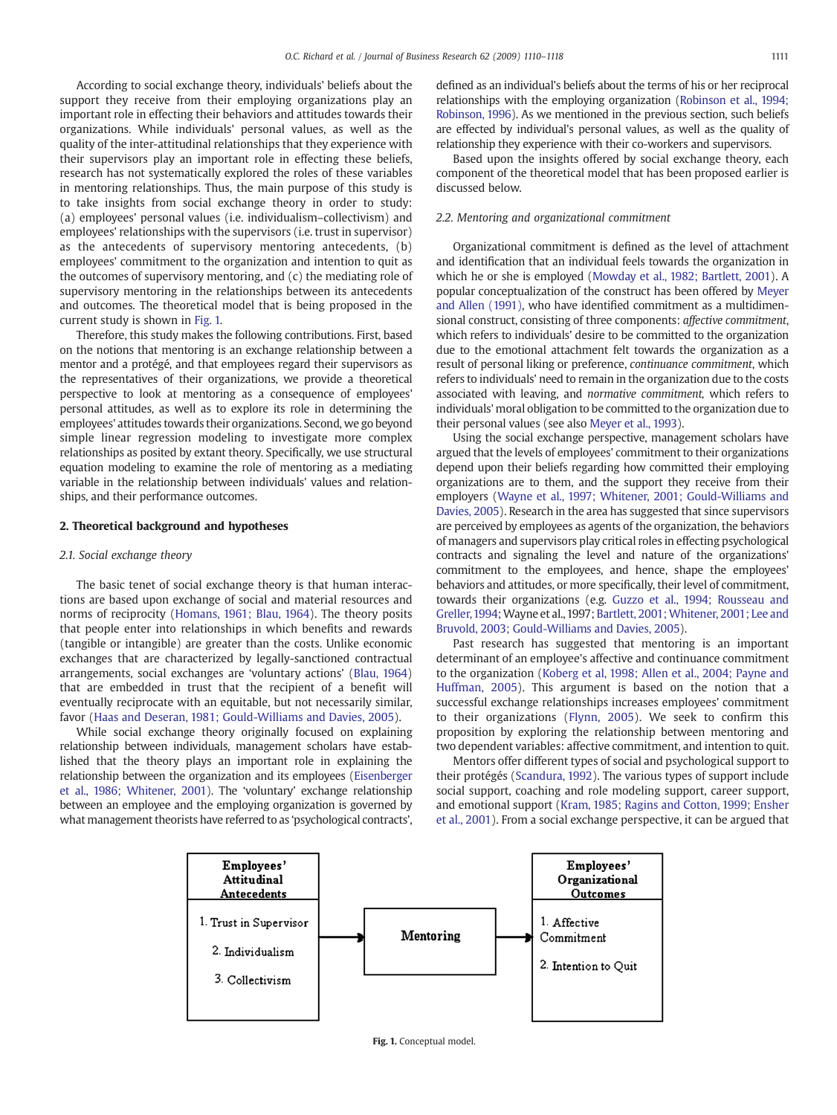According to social exchange theory, individuals' beliefs about the support they receive from their employing organizations play an important role in effecting their behaviors and attitudes towards their organizations. While individuals' personal values, as well as the quality of the inter-attitudinal relationships that they experience with their supervisors play an important role in effecting these beliefs, research has not systematically explored the roles of these variables in mentoring relationships. Thus, the main purpose of this study is to take insights from social exchange theory in order to study: (a) employees' personal values (i.e. individualism–collectivism) and employees' relationships with the supervisors (i.e. trust in supervisor) as the antecedents of supervisory mentoring antecedents, (b) employees' commitment to the organization and intention to quit as the outcomes of supervisory mentoring, and (c) the mediating role of supervisory mentoring in the relationships between its antecedents and outcomes. The theoretical model that is being proposed in the current study is shown in Fig. 1.

Therefore, this study makes the following contributions. First, based on the notions that mentoring is an exchange relationship between a mentor and a protégé, and that employees regard their supervisors as the representatives of their organizations, we provide a theoretical perspective to look at mentoring as a consequence of employees' personal attitudes, as well as to explore its role in determining the employees' attitudes towards their organizations. Second, we go beyond simple linear regression modeling to investigate more complex relationships as posited by extant theory. Specifically, we use structural equation modeling to examine the role of mentoring as a mediating variable in the relationship between individuals' values and relationships, and their performance outcomes.

#### 2. Theoretical background and hypotheses

#### 2.1. Social exchange theory

The basic tenet of social exchange theory is that human interactions are based upon exchange of social and material resources and norms of reciprocity ([Homans, 1961; Blau, 1964](#page--1-0)). The theory posits that people enter into relationships in which benefits and rewards (tangible or intangible) are greater than the costs. Unlike economic exchanges that are characterized by legally-sanctioned contractual arrangements, social exchanges are 'voluntary actions' ([Blau, 1964](#page--1-0)) that are embedded in trust that the recipient of a benefit will eventually reciprocate with an equitable, but not necessarily similar, favor ([Haas and Deseran, 1981; Gould-Williams and Davies, 2005\)](#page--1-0).

While social exchange theory originally focused on explaining relationship between individuals, management scholars have established that the theory plays an important role in explaining the relationship between the organization and its employees [\(Eisenberger](#page--1-0) [et al., 1986; Whitener, 2001\)](#page--1-0). The 'voluntary' exchange relationship between an employee and the employing organization is governed by what management theorists have referred to as 'psychological contracts', defined as an individual's beliefs about the terms of his or her reciprocal relationships with the employing organization [\(Robinson et al., 1994;](#page--1-0) [Robinson, 1996\)](#page--1-0). As we mentioned in the previous section, such beliefs are effected by individual's personal values, as well as the quality of relationship they experience with their co-workers and supervisors.

Based upon the insights offered by social exchange theory, each component of the theoretical model that has been proposed earlier is discussed below.

#### 2.2. Mentoring and organizational commitment

Organizational commitment is defined as the level of attachment and identification that an individual feels towards the organization in which he or she is employed ([Mowday et al., 1982; Bartlett, 2001](#page--1-0)). A popular conceptualization of the construct has been offered by [Meyer](#page--1-0) [and Allen \(1991\),](#page--1-0) who have identified commitment as a multidimensional construct, consisting of three components: affective commitment, which refers to individuals' desire to be committed to the organization due to the emotional attachment felt towards the organization as a result of personal liking or preference, continuance commitment, which refers to individuals' need to remain in the organization due to the costs associated with leaving, and normative commitment, which refers to individuals' moral obligation to be committed to the organization due to their personal values (see also [Meyer et al., 1993](#page--1-0)).

Using the social exchange perspective, management scholars have argued that the levels of employees' commitment to their organizations depend upon their beliefs regarding how committed their employing organizations are to them, and the support they receive from their employers [\(Wayne et al., 1997; Whitener, 2001; Gould-Williams and](#page--1-0) [Davies, 2005](#page--1-0)). Research in the area has suggested that since supervisors are perceived by employees as agents of the organization, the behaviors of managers and supervisors play critical roles in effecting psychological contracts and signaling the level and nature of the organizations' commitment to the employees, and hence, shape the employees' behaviors and attitudes, or more specifically, their level of commitment, towards their organizations (e.g. [Guzzo et al., 1994; Rousseau and](#page--1-0) [Greller,1994](#page--1-0);Wayne et al.,1997; [Bartlett, 2001; Whitener, 2001; Lee and](#page--1-0) [Bruvold, 2003; Gould-Williams and Davies, 2005\)](#page--1-0).

Past research has suggested that mentoring is an important determinant of an employee's affective and continuance commitment to the organization [\(Koberg et al, 1998; Allen et al., 2004; Payne and](#page--1-0) [Huffman, 2005](#page--1-0)). This argument is based on the notion that a successful exchange relationships increases employees' commitment to their organizations ([Flynn, 2005](#page--1-0)). We seek to confirm this proposition by exploring the relationship between mentoring and two dependent variables: affective commitment, and intention to quit.

Mentors offer different types of social and psychological support to their protégés [\(Scandura, 1992\)](#page--1-0). The various types of support include social support, coaching and role modeling support, career support, and emotional support [\(Kram, 1985; Ragins and Cotton, 1999; Ensher](#page--1-0) [et al., 2001\)](#page--1-0). From a social exchange perspective, it can be argued that



Fig. 1. Conceptual model.